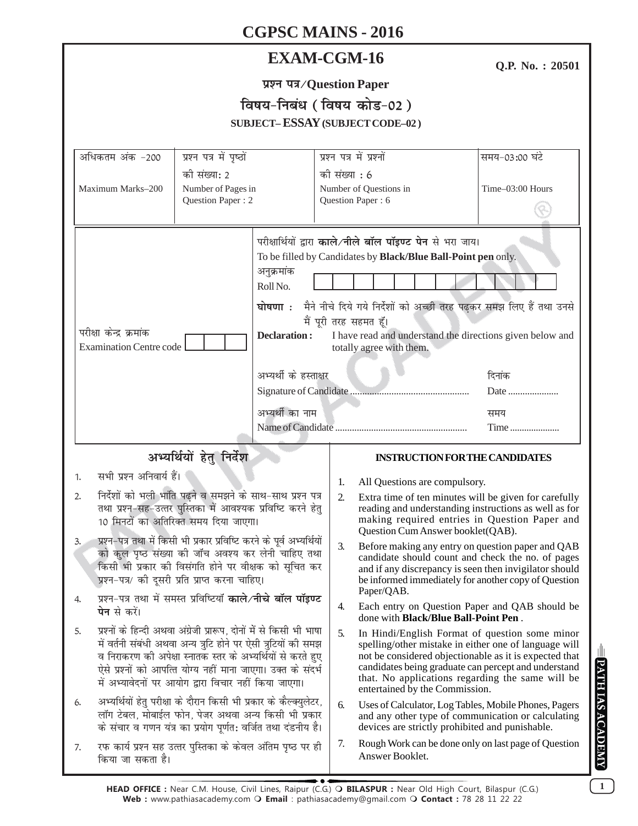# **CGPSC MAINS - 2016**

## **EXAM-CGM-16**

Q.P. No.: 20501

| प्रश्न पत्र/Question Paper                                                           |  |
|--------------------------------------------------------------------------------------|--|
| विषय-निबंध (विषय कोड-02)                                                             |  |
| cidiect $\mathbf{FCC}$ $\mathbf{C}$ $\mathbf{C}$ $\mathbf{A}$ (cidiect code $\alpha$ |  |

| SUBJECT-ESSAY (SUBJECT CODE-02)                                                                                                                                                                                                                                                                                                                                                                                                                                                                                                |                                                                                    |  |                                                                                                                                                                                                                                                                                                                                                                                  |                                                                                                                                                                                                                                                                                                                                                                                                                                  |                                    |  |  |
|--------------------------------------------------------------------------------------------------------------------------------------------------------------------------------------------------------------------------------------------------------------------------------------------------------------------------------------------------------------------------------------------------------------------------------------------------------------------------------------------------------------------------------|------------------------------------------------------------------------------------|--|----------------------------------------------------------------------------------------------------------------------------------------------------------------------------------------------------------------------------------------------------------------------------------------------------------------------------------------------------------------------------------|----------------------------------------------------------------------------------------------------------------------------------------------------------------------------------------------------------------------------------------------------------------------------------------------------------------------------------------------------------------------------------------------------------------------------------|------------------------------------|--|--|
| अधिकतम अंक -200<br>Maximum Marks-200                                                                                                                                                                                                                                                                                                                                                                                                                                                                                           | प्रश्न पत्र में पृष्ठों<br>की संख्या: 2<br>Number of Pages in<br>Question Paper: 2 |  |                                                                                                                                                                                                                                                                                                                                                                                  | प्रश्न पत्र में प्रश्नों<br>को संख्या : 6<br>Number of Questions in<br>Question Paper: 6                                                                                                                                                                                                                                                                                                                                         | समय-03:00 घंटे<br>Time-03:00 Hours |  |  |
| अनुक्रमांक<br>Roll No.<br>परीक्षा केन्द्र क्रमांक<br>Declaration:<br><b>Examination Centre code</b><br>अभ्यर्थी का नाम                                                                                                                                                                                                                                                                                                                                                                                                         |                                                                                    |  | परीक्षार्थियों द्वारा काले/नीले बॉल पॉइण्ट पेन से भरा जाय।<br>To be filled by Candidates by Black/Blue Ball-Point pen only.<br>घोषणा : मैने नीचे दिये गये निर्देशों को अच्छी तरह पढ़कर समझ लिए हैं तथा उनसे<br>मैं पूरी तरह सहमत हूँ।<br>I have read and understand the directions given below and<br>totally agree with them.<br>अभ्यर्थी के हस्ताक्षर<br>दिनांक<br>समय<br>Time |                                                                                                                                                                                                                                                                                                                                                                                                                                  |                                    |  |  |
| अभ्यर्थियों हेतु निर्देश                                                                                                                                                                                                                                                                                                                                                                                                                                                                                                       |                                                                                    |  |                                                                                                                                                                                                                                                                                                                                                                                  | <b>INSTRUCTION FOR THE CANDIDATES</b>                                                                                                                                                                                                                                                                                                                                                                                            |                                    |  |  |
| सभी प्रश्न अनिवार्य हैं।<br>1.                                                                                                                                                                                                                                                                                                                                                                                                                                                                                                 |                                                                                    |  | 1.                                                                                                                                                                                                                                                                                                                                                                               | All Questions are compulsory.                                                                                                                                                                                                                                                                                                                                                                                                    |                                    |  |  |
| निर्देशों को भली भांति पढ़ने व समझने के साथ-साथ प्रश्न पत्र<br>2.<br>तथा प्रश्न-सह-उत्तर पुस्तिका में आवश्यक प्रविष्टि करने हेतु<br>10 मिनटों का अतिरिक्त समय दिया जाएगा।<br>प्रश्न–पत्र तथा में किसी भी प्रकार प्रविष्टि करने के पूर्व अभ्यर्थियों<br>3.<br>को कुल पृष्ठ संख्या की जाँच अवश्य कर लेनी चाहिए तथा<br>किसी भी प्रकार की विसंगति होने पर वीक्षक को सूचित कर<br>प्रश्न-पत्र/ की दूसरी प्रति प्राप्त करना चाहिए।<br>प्रश्न-पत्र तथा में समस्त प्रविष्टियाँ <b>काले⁄नीचे बॉल पॉइण्ट</b><br>4.<br><b>पेन</b> से करें। |                                                                                    |  | 2.<br>3.                                                                                                                                                                                                                                                                                                                                                                         | Extra time of ten minutes will be given for carefully<br>reading and understanding instructions as well as for<br>making required entries in Question Paper and<br>Question Cum Answer booklet(QAB).<br>Before making any entry on question paper and QAB<br>candidate should count and check the no. of pages<br>and if any discrepancy is seen then invigilator should<br>be informed immediately for another copy of Question |                                    |  |  |
|                                                                                                                                                                                                                                                                                                                                                                                                                                                                                                                                |                                                                                    |  | 4.                                                                                                                                                                                                                                                                                                                                                                               | Paper/QAB.<br>Each entry on Question Paper and QAB should be<br>done with <b>Black/Blue Ball-Point Pen</b> .                                                                                                                                                                                                                                                                                                                     |                                    |  |  |
| प्रश्नों के हिन्दी अथवा अंग्रेजी प्रारूप, दोनों में से किसी भी भाषा<br>5.<br>में वर्तनी संबंधी अथवा अन्य त्रुटि होने पर ऐसी त्रुटियों की समझ<br>व निराकरण की अपेक्षा स्नातक स्तर के अभ्यर्थियों से करते हुए<br>ऐसे प्रश्नों को आपत्ति योग्य नहीं माना जाएगा। उक्त के संदर्भ<br>में अभ्यावेदनों पर आयोग द्वारा विचार नहीं किया जाएगा।                                                                                                                                                                                           |                                                                                    |  | 5.                                                                                                                                                                                                                                                                                                                                                                               | In Hindi/English Format of question some minor<br>spelling/other mistake in either one of language will<br>not be considered objectionable as it is expected that<br>candidates being graduate can percept and understand<br>that. No applications regarding the same will be<br>entertained by the Commission.                                                                                                                  |                                    |  |  |
| अभ्यर्थियों हेतु परीक्षा के दौरान किसी भी प्रकार के कैल्क्युलेटर,<br>6.<br>लॉग टेबल, मोबाईल फोन, पेजर अथवा अन्य किसी भी प्रकार<br>के संचार व गणन यंत्र का प्रयोग पूर्णत: वर्जित तथा दंडनीय है।                                                                                                                                                                                                                                                                                                                                 |                                                                                    |  | 6.                                                                                                                                                                                                                                                                                                                                                                               | Uses of Calculator, Log Tables, Mobile Phones, Pagers<br>and any other type of communication or calculating<br>devices are strictly prohibited and punishable.                                                                                                                                                                                                                                                                   |                                    |  |  |
| 7.                                                                                                                                                                                                                                                                                                                                                                                                                                                                                                                             | रफ कार्य प्रश्न सह उत्तर पुस्तिका के केवल अंतिम पृष्ठ पर ही<br>किया जा सकता है।    |  |                                                                                                                                                                                                                                                                                                                                                                                  | Rough Work can be done only on last page of Question<br>Answer Booklet.                                                                                                                                                                                                                                                                                                                                                          |                                    |  |  |

 $\boxed{1}$